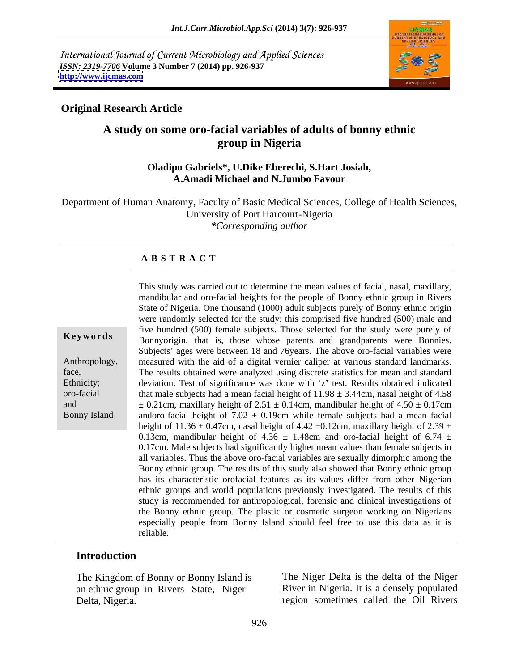International Journal of Current Microbiology and Applied Sciences *ISSN: 2319-7706* **Volume 3 Number 7 (2014) pp. 926-937 <http://www.ijcmas.com>**



## **Original Research Article**

# **A study on some oro-facial variables of adults of bonny ethnic group in Nigeria**

### **Oladipo Gabriels\*, U.Dike Eberechi, S.Hart Josiah, A.Amadi Michael and N.Jumbo Favour**

Department of Human Anatomy, Faculty of Basic Medical Sciences, College of Health Sciences, University of Port Harcourt-Nigeria *\*Corresponding author* 

### **A B S T R A C T**

**Keywords** Bonnyorigin, that is, those whose parents and grandparents were Bonnies. Anthropology, measured with the aid of a digital vernier caliper at various standard landmarks. face, The results obtained were analyzed using discrete statistics for mean and standard Ethnicity; deviation. Test of significance was done with 'z' test. Results obtained indicated oro-facial that male subjects had a mean facial height of 11.98 ± 3.44cm, nasal height of 4.58 and  $\pm 0.21$ cm, maxillary height of  $2.51 \pm 0.14$ cm, mandibular height of  $4.50 \pm 0.17$ cm Bonny Island andoro-facial height of  $7.02 \pm 0.19$ cm while female subjects had a mean facial This study was carried out to determine the mean values of facial, nasal, maxillary, mandibular and oro-facial heights for the people of Bonny ethnic group in Rivers State of Nigeria. One thousand (1000) adult subjects purely of Bonny ethnic origin were randomly selected for the study; this comprised five hundred (500) male and five hundred (500) female subjects. Those selected for the study were purely of Subjects' ages were between 18 and 76 years. The above oro-facial variables were height of 11.36  $\pm$  0.47cm, nasal height of 4.42  $\pm$ 0.12cm, maxillary height of 2.39  $\pm$ 0.13cm, mandibular height of 4.36  $\pm$  1.48cm and oro-facial height of 6.74  $\pm$ 0.17cm. Male subjects had significantly higher mean values than female subjects in all variables. Thus the above oro-facial variables are sexually dimorphic among the Bonny ethnic group. The results of this study also showed that Bonny ethnic group has its characteristic orofacial features as its values differ from other Nigerian ethnic groups and world populations previously investigated. The results of this study is recommended for anthropological, forensic and clinical investigations of the Bonny ethnic group. The plastic or cosmetic surgeon working on Nigerians especially people from Bonny Island should feel free to use this data as it is reliable.

### **Introduction**

The Kingdom of Bonny or Bonny Island is an ethnic group in Rivers State, Niger Delta, Nigeria. region sometimes called the Oil Rivers

The Niger Delta is the delta of the Niger River in Nigeria. It is a densely populated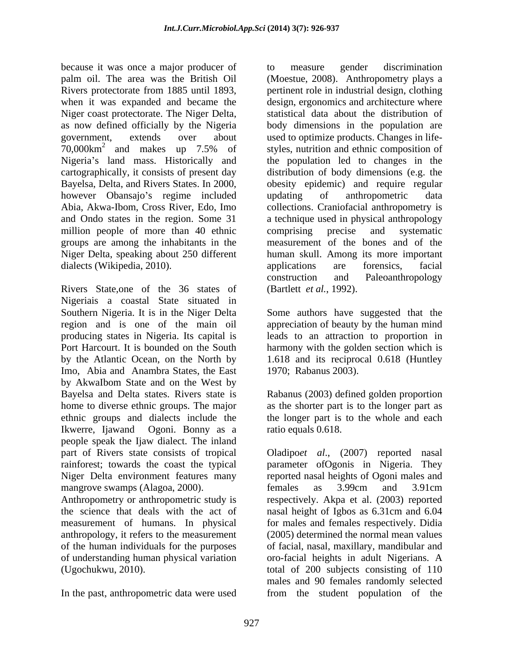because it was once a major producer of to measure gender discrimination palm oil. The area was the British Oil (Moestue, 2008). Anthropometry plays a Rivers protectorate from 1885 until 1893, pertinent role in industrial design, clothing when it was expanded and became the design, ergonomics and architecture where Niger coast protectorate. The Niger Delta, as now defined officially by the Nigeria body dimensions in the population are government, extends over about used to optimize products. Changes in life- 70,000km<sup>2</sup> and makes up 7.5% of styles, nutrition and ethnic composition of Nigeria's land mass. Historically and the population led to changes in the cartographically, it consists of present day distribution of body dimensions (e.g. the Bayelsa, Delta, and Rivers States. In 2000, obesity epidemic) and require regular however Obansajo's regime included updating of anthropometric data Abia, Akwa-Ibom, Cross River, Edo, Imo collections. Craniofacial anthropometry is and Ondo states in the region. Some 31 a technique used in physical anthropology million people of more than 40 ethnic comprising precise and systematic groups are among the inhabitants in the measurement of the bones and of the Niger Delta, speaking about250 different human skull. Among its more important dialects (Wikipedia, 2010). <br>
applications are forensics, facial

Rivers State,one of the 36 states of Nigeriais a coastal State situated in Southern Nigeria. It is in the Niger Delta Some authors have suggested that the region and is one of the main oil appreciation of beauty by the human mind producing states in Nigeria. Its capital is leads to an attraction to proportion in Port Harcourt. It is bounded on the South harmony with the golden section which is by the Atlantic Ocean, on the North by Imo, Abia and Anambra States, the East by AkwaIbom State and on the West by Bayelsa and Delta states. Rivers state is Rabanus (2003) defined golden proportion home to diverse ethnic groups. The major as the shorter part is to the longer part as ethnic groups and dialects include the the longer part is to the whole and each Ikwerre, Ijawand Ogoni. Bonny as a people speak the Ijaw dialect. The inland part of Rivers state consists of tropical Oladipo*et al*., (2007) reported nasal rainforest; towards the coast the typical parameter ofOgonis in Nigeria. They Niger Delta environment features many reported nasal heights of Ogoni males and mangrove swamps (Alagoa, 2000). Females as 3.99cm and 3.91cm

measurement of humans. In physical anthropology, it refers to the measurement of the human individuals for the purposes

to measure gender discrimination statistical data about the distribution of updating of anthropometric data comprising precise and systematic applications are forensics, facial construction and Paleoanthropology (Bartlett *et al.*, 1992).

1.618 and its reciprocal 0.618 (Huntley 1970; Rabanus 2003).

ratio equals 0.618.

Anthropometry or anthropometric study is respectively. Akpa et al. (2003) reported the science that deals with the act of nasal height of Igbos as 6.31cm and 6.04 of understanding human physical variation oro-facial heights in adult Nigerians. A (Ugochukwu, 2010). total of 200 subjects consisting of 110 In the past, anthropometric data were used from the student population of thefemales as 3.99cm and 3.91cm for males and females respectively. Didia (2005) determined the normal mean values of facial, nasal, maxillary, mandibular and males and 90 females randomly selected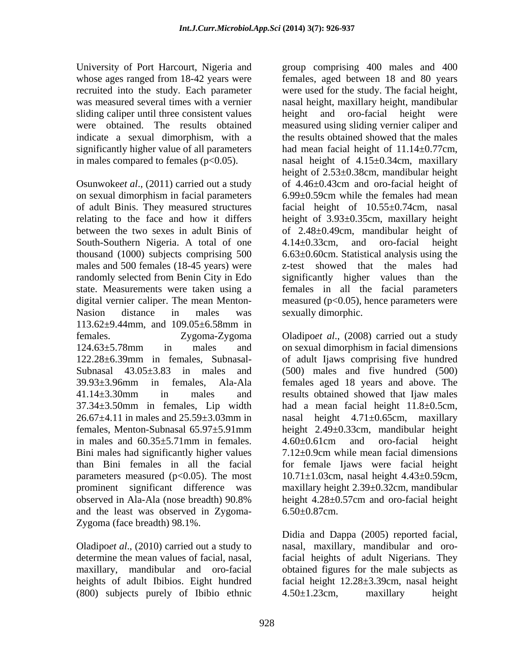whose ages ranged from 18-42 years were sliding caliper until three consistent values beight and significantly higher value of all parameters

Osunwoke*et al*., (2011) carried out a study on sexual dimorphism in facial parameters 6.99±0.59cm while the females had mean South-Southern Nigeria. A total of one  $4.14 \pm 0.33$  cm, and oro-facial height males and 500 females (18-45 years) were 113.62±9.44mm, and 109.05±6.58mm in Bini males had significantly higher values parameters measured ( $p<0.05$ ). The most and the least was observed in Zygoma- 6.50 $\pm$ 0.87cm. Zygoma (face breadth) 98.1%.

 $(800)$  subjects purely of Ibibio ethnic  $4.50 \pm 1.23$ cm, maxillary height

University of Port Harcourt, Nigeria and group comprising 400 males and 400 recruited into the study. Each parameter were used for the study. The facial height, was measured several times with a vernier nasal height, maxillary height, mandibular were obtained. The results obtained measured using sliding vernier caliper and indicate a sexual dimorphism, with a the results obtained showed that the males in males compared to females (p<0.05). nasal height of 4.15±0.34cm, maxillary of adult Binis. They measured structures facial height of 10.55±0.74cm, nasal relating to the face and how it differs height of 3.93±0.35cm, maxillary height between the two sexes in adult Binis of of 2.48±0.49cm, mandibular height of thousand (1000) subjects comprising 500 6.63±0.60cm. Statistical analysis using the randomly selected from Benin City in Edo significantly higher values than the state. Measurements were taken using a females in all the facial parameters digital vernier caliper. The mean Menton- measured (p<0.05), hence parameters were Nasion distance in males was sexually dimorphic. females, aged between 18 and 80 years oro-facial height were had mean facial height of  $11.14 \pm 0.77$ cm, height of 2.53±0.38cm, mandibular height of 4.46±0.43cm and oro-facial height of 6.99±0.59cm while the females had mean 4.14±0.33cm, and oro-facial height z-test showed that the males had sexually dimorphic.

females. Zygoma-Zygoma Oladipo*et al*., (2008) carried out a study 124.63±5.78mm in males and on sexual dimorphism in facial dimensions 122.28±6.39mm in females, Subnasal- of adult Ijaws comprising five hundred Subnasal 43.05±3.83 in males and (500) males and five hundred (500) 39.93±3.96mm in females, Ala-Ala females aged 18 years and above. The 41.14±3.30mm in males and results obtained showed that Ijaw males 37.34±3.50mm in females, Lip width had a mean facial height 11.8±0.5cm,  $26.67\pm4.11$  in males and  $25.59\pm3.03$ mm in asal height  $4.71\pm0.65$ cm, maxillary females, Menton-Subnasal 65.97±5.91mm in males and  $60.35 \pm 5.71$  mm in females.  $4.60 \pm 0.61$  cm and oro-facial height than Bini females in all the facial for female Ijaws were facial height prominent significant difference was maxillary height 2.39±0.32cm, mandibular observed in Ala-Ala (nose breadth) 90.8% height 2.49±0.33cm, mandibular height 4.60±0.61cm and oro-facial height 7.12±0.9cm while mean facial dimensions 10.71±1.03cm, nasal height 4.43±0.59cm, height 4.28±0.57cm and oro-facial height  $6.50 \pm 0.87$ cm.

Oladipo*et al*., (2010) carried out a study to nasal, maxillary, mandibular and orodetermine the mean values of facial, nasal, facial heights of adult Nigerians. They maxillary, mandibular and oro-facial obtained figures for the male subjects as heights of adult Ibibios. Eight hundred facial height 12.28±3.39cm, nasal height Didia and Dappa (2005) reported facial, 4.50±1.23cm, maxillary height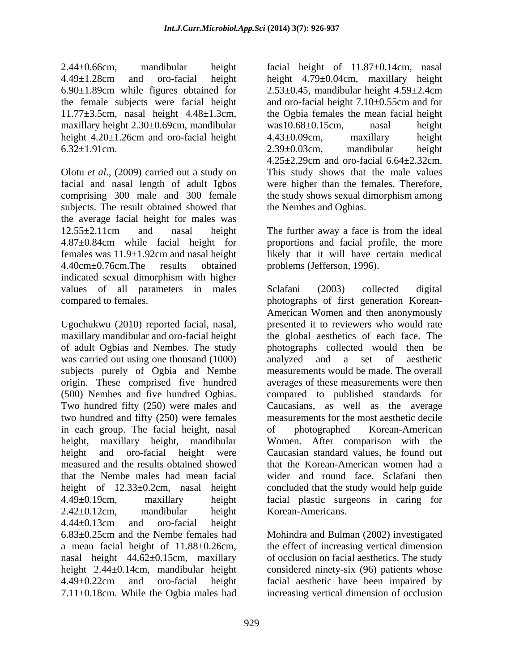2.44±0.66cm, mandibular height facial height of 11.87±0.14cm, nasal maxillary height 2.30±0.69cm, mandibular was 10.68±0.15cm, nasal height height 4.20±1.26cm and oro-facial height  $4.43\pm0.09$ cm, maxillary height

Olotu *et al*., (2009) carried out a study on facial and nasal length of adult Igbos were higher than the females. Therefore, comprising 300 male and 300 female the study shows sexual dimorphism among subjects. The result obtained showed that the average facial height for males was 12.55±2.11cm and nasal height The further away a face is from the ideal 4.87±0.84cm while facial height for proportions and facial profile, the more females was 11.9±1.92cm and nasal height likely that it will have certain medical 4.40cm $\pm$ 0.76cm.The results obtained problems (Jefferson, 1996). indicated sexual dimorphism with higher values of all parameters in males Sclafani (2003) collected digital

Ugochukwu (2010) reported facial, nasal, maxillary mandibular and oro-facial height the global aesthetics of each face. The of adult Ogbias and Nembes. The study photographs collected would then be was carried out using one thousand (1000) analyzed and a set of aesthetic subjects purely of Ogbia and Nembe origin. These comprised five hundred averages of these measurements were then (500) Nembes and five hundred Ogbias. compared to published standards for Two hundred fifty (250) were males and Caucasians, as well as the average two hundred and fifty (250) were females in each group. The facial height, nasal of photographed Korean-American height, maxillary height, mandibular Women. After comparison with the height and oro-facial height were Caucasian standard values, he found out measured and the results obtained showed that the Korean-American women had a that the Nembe males had mean facial height of 12.33±0.2cm, nasal height 4.49±0.19cm, maxillary height facial plastic surgeons in caring for 2.42±0.12cm, mandibular height Korean-Americans. 4.44±0.13cm and oro-facial height 6.83±0.25cm and the Nembe females had Mohindra and Bulman (2002) investigated a mean facial height of 11.88±0.26cm, the effect of increasing vertical dimension nasal height 44.62±0.15cm, maxillary height 2.44±0.14cm, mandibular height considered ninety-six (96) patients whose 4.49±0.22cm and oro-facial height facial aesthetic have been impaired by 7.11±0.18cm. While the Ogbia males had

4.49±1.28cm and oro-facial height height 4.79±0.04cm, maxillary height 6.90±1.89cm while figures obtained for 2.53±0.45, mandibular height 4.59±2.4cm the female subjects were facial height and oro-facial height 7.10±0.55cm and for 11.77±3.5cm, nasal height 4.48±1.3cm, the Ogbia females the mean facial height  $6.32 \pm 1.91$ cm.  $2.39 \pm 0.03$ cm, mandibular height was10.68±0.15cm, nasal height 4.43±0.09cm, maxillary height 2.39±0.03cm, mandibular height 4.25±2.29cm and oro-facial 6.64±2.32cm. This study shows that the male values the Nembes and Ogbias.

> The further away a face is from the ideal problems (Jefferson, 1996).

compared to females. photographs of first generation Korean- Sclafani (2003) collected digital American Women and then anonymously presented it to reviewers who would rate analyzed and a set of aesthetic measurements would be made. The overall measurements for the most aesthetic decile of photographed Korean-American wider and round face. Sclafani then concluded that the study would help guide Korean-Americans.

> of occlusion on facial aesthetics. The study increasing vertical dimension of occlusion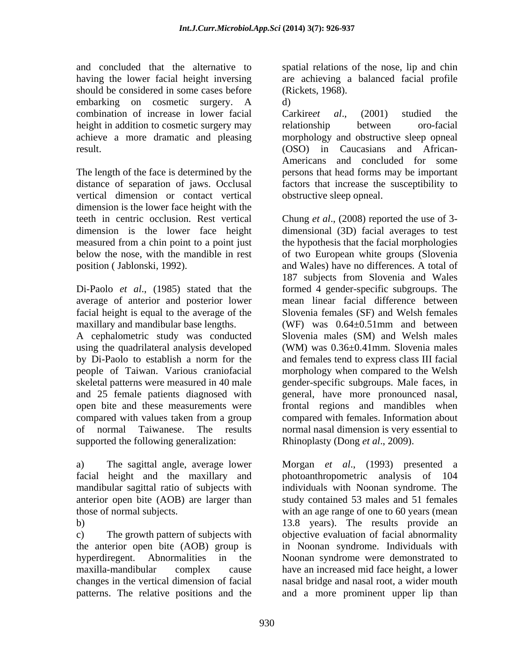and concluded that the alternative to spatial relations of the nose, lip and chin having the lower facial height inversing are achieving a balanced facial profile should be considered in some cases before embarking on cosmetic surgery. A d) combination of increase in lower facial Carkireet al., (2001) studied the height in addition to cosmetic surgery may relationship between oro-facial

The length of the face is determined by the vertical dimension or contact vertical dimension is the lower face height with the position (Jablonski, 1992). and Wales) have no differences. A total of

average of anterior and posterior lower maxillary and mandibular base lengths.  $(WF)$  was  $0.64 \pm 0.51$  mm and between

people of Taiwan. Various craniofacial supported the following generalization:

anterior open bite (AOB) are larger than

patterns. The relative positions and the

(Rickets, 1968).

d)

achieve a more dramatic and pleasing morphology and obstructive sleep opneal result. (OSO) in Caucasians and African distance of separation of jaws. Occlusal factors that increase the susceptibility to Carkire*et al*., (2001) studied the relationship between oro-facial Americans and concluded for some persons that head forms may be important obstructive sleep opneal.

teeth in centric occlusion. Rest vertical Chung *et al*., (2008) reported the use of 3 dimension is the lower face height dimensional (3D) facial averages to test measured from a chin point to a point just the hypothesis that the facial morphologies below the nose, with the mandible in rest of two European white groups (Slovenia Di-Paolo *et al*., (1985) stated that the formed 4 gender-specific subgroups. The facial height is equal to the average of the Slovenia females (SF) and Welsh females A cephalometric study was conducted Slovenia males (SM) and Welsh males using the quadrilateral analysis developed (WM) was 0.36±0.41mm. Slovenia males by Di-Paolo to establish a norm for the and females tend to express class III facial skeletal patterns were measured in 40 male gender-specific subgroups. Male faces, in and 25 female patients diagnosed with general, have more pronounced nasal, open bite and these measurements were frontal regions and mandibles when compared with values taken from a group of normal Taiwanese. The results normal nasal dimension is very essential to and Wales) have no differences. A total of 187 subjects from Slovenia and Wales mean linear facial difference between (WF) was  $0.64 \pm 0.51$  mm and between morphology when compared to the Welsh compared with females. Information about Rhinoplasty (Dong *et al*., 2009).

a) The sagittal angle, average lower Morgan *et al*., (1993) presented a facial height and the maxillary and photoanthropometric analysis of 104 mandibular sagittal ratio of subjects with individuals with Noonan syndrome. The those of normal subjects. with an age range of one to 60 years (mean b) 13.8 years). The results provide an c) The growth pattern of subjects with objective evaluation of facial abnormality the anterior open bite (AOB) group is in Noonan syndrome. Individuals with hyperdiregent. Abnormalities in the Noonan syndrome were demonstrated to maxilla-mandibular complex cause have an increased mid face height, a lower changes in the vertical dimension of facial nasal bridge and nasal root, a wider mouth study contained 53 males and 51 females and a more prominent upper lip than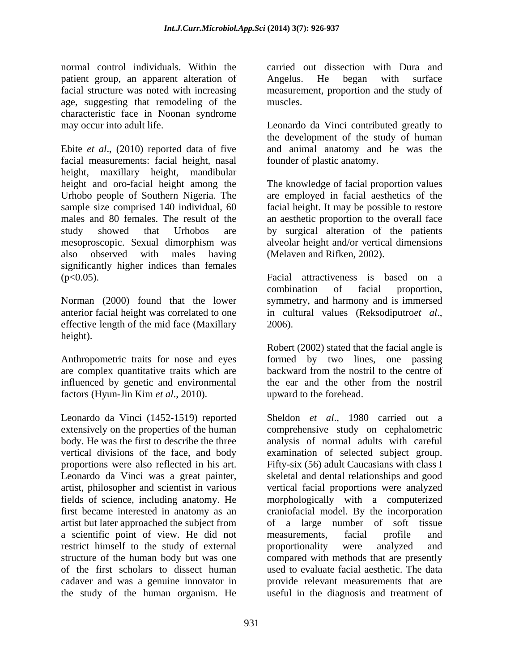normal control individuals. Within the patient group, an apparent alteration of Angelus. He began with surface age, suggesting that remodeling of the muscles. characteristic face in Noonan syndrome may occur into adult life. Leonardo da Vinci contributed greatly to

Ebite *et al*., (2010) reported data of five and animal anatomy and he was the facial measurements: facial height, nasal height, maxillary height, mandibular height and oro-facial height among the The knowledge of facial proportion values Urhobo people of Southern Nigeria. The are employed in facial aesthetics of the sample size comprised 140 individual, 60 facial height. It may be possible to restore males and 80 females. The result of the an aesthetic proportion to the overall face study showed that Urhobos are by surgical alteration of the patients mesoproscopic. Sexual dimorphism was alveolar height and/or vertical dimensions also observed with males having (Melaven and Rifken, 2002). significantly higher indices than females (p<0.05). Facial attractiveness is based on a

Norman (2000) found that the lower symmetry, and harmony and is immersed anterior facial height was correlated to one in cultural values (Reksodiputroet al., effective length of the mid face (Maxillary 2006). height).

are complex quantitative traits which are backward from the nostril to the centre of influenced by genetic and environmental factors (Hyun-Jin Kim *et al*., 2010).

Leonardo da Vinci (1452-1519) reported extensively on the properties of the human comprehensive study on cephalometric body. He was the first to describe the three analysis of normal adults with careful vertical divisions of the face, and body examination of selected subject group. proportions were also reflected in his art. Fifty-six (56) adult Caucasians with class I Leonardo da Vinci was a great painter, skeletal and dental relationships and good artist, philosopher and scientist in various vertical facial proportions were analyzed fields of science, including anatomy. He morphologically with a computerized first became interested in anatomy as an craniofacial model. By the incorporation artist but later approached the subject from a scientific point of view. He did not measurements, facial profile and restrict himself to the study of external proportionality were analyzed and restrict himself to the study of external proportionality were analyzed and structure of the human body but was one compared with methods that are presently of the first scholars to dissect human used to evaluate facial aesthetic. The data cadaver and was a genuine innovator in the study of the human organism. He

facial structure was noted with increasing measurement, proportion and the study of carried out dissection with Dura and Angelus. He began with surface muscles.

> the development of the study of human founder of plastic anatomy.

> (Melaven and Rifken, 2002).

combination of facial proportion, in cultural values (Reksodiputro*et al*., 2006).

Anthropometric traits for nose and eyes formed by two lines, one passing Robert (2002) stated that the facial angle is backward from the nostril to the centre of the ear and the other from the nostril upward to the forehead.

> Sheldon *et al*., 1980 carried out a of a large number of soft tissue measurements, facial profile and proportionality were analyzed and provide relevant measurements that are useful in the diagnosis and treatment of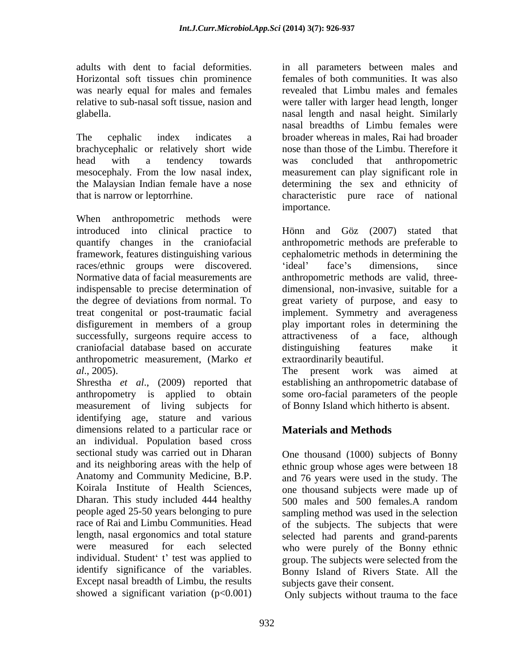was nearly equal for males and females

brachycephalic or relatively short wide

When anthropometric methods were races/ethnic groups were discovered. 'ideal' face's dimensions, since Normative data of facial measurements are successfully, surgeons require access to attractiveness of a face, although craniofacial database based on accurate anthropometric measurement, (Marko *et al*., 2005). The present work was aimed at

Shrestha *et al*., (2009) reported that anthropometry is applied to obtain some oro-facial parameters of the people measurement of living subjects for identifying age, stature and various dimensions related to a particular race or an individual. Population based cross sectional study was carried out in Dharan and its neighboring areas with the help of ethnic group whose ages were between 18 Anatomy and Community Medicine, B.P. and 76 years were used in the study. The Koirala Institute of Health Sciences, one thousand subjects were made up of Dharan. This study included 444 healthy 500 males and 500 females A random people aged 25-50 years belonging to pure sampling method was used in the selection race of Rai and Limbu Communities. Head of the subjects. The subjects that were length, nasal ergonomics and total stature selected had parents and grand-parents were measured for each selected who were purely of the Bonny ethnic individual. Student' t' test was applied to identify significance of the variables. Bonny Island of Rivers State. All the Except nasal breadth of Limbu, the results showed a significant variation  $(p<0.001)$ 

adults with dent to facial deformities. in all parameters between males and Horizontal soft tissues chin prominence females of both communities. It was also relative to sub-nasal soft tissue, nasion and were taller with larger head length, longer glabella. nasal length and nasal height. Similarly The cephalic index indicates a broader whereas in males, Rai had broader head with a tendency towards mesocephaly. From the low nasal index, measurement can play significant role in the Malaysian Indian female have a nose determining the sex and ethnicity of that is narrow or leptorrhine. characteristic pure race of national revealed that Limbu males and females nasal breadths of Limbu females were nose than those of the Limbu. Therefore it was concluded that anthropometric importance.

introduced into clinical practice to Hönn and Göz (2007) stated that quantify changes in the craniofacial anthropometric methods are preferable to framework, features distinguishing various cephalometric methods in determining the indispensable to precise determination of dimensional, non-invasive, suitable for a the degree of deviations from normal. To great variety of purpose, and easy to treat congenital or post-traumatic facial implement. Symmetry and averageness disfigurement in members of a group play important roles in determining the ideal' face's dimensions, since anthropometric methods are valid, three attractiveness of a face, although distinguishing features make it extraordinarily beautiful.

> The present work was aimed at establishing an anthropometric database of of Bonny Island which hitherto is absent.

# **Materials and Methods**

One thousand (1000) subjects of Bonny 500 males and 500 females.A random group. The subjects were selected from the subjects gave their consent.

Only subjects without trauma to the face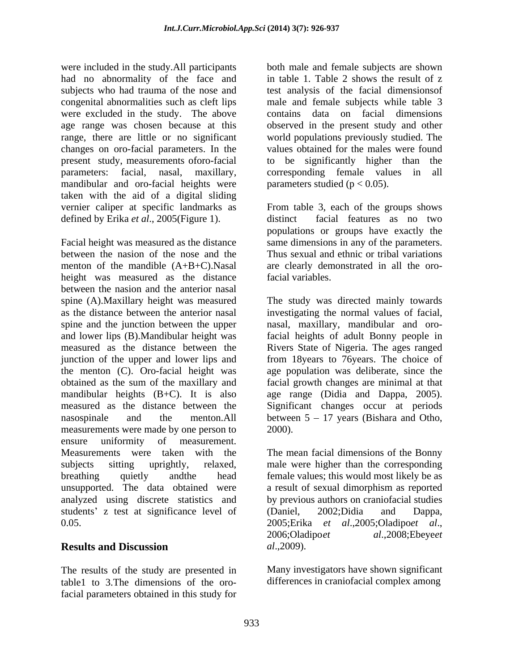were included in the study.All participants had no abnormality of the face and subjects who had trauma of the nose and test analysis of the facial dimensionsof congenital abnormalities such as cleft lips male and female subjects while table 3 were excluded in the study. The above age range was chosen because at this observed in the present study and other range, there are little or no significant world populations previously studied. The changes on oro-facial parameters. In the present study, measurements of oro-facial to be significantly higher than the parameters: facial, nasal, maxillary, corresponding female values in all mandibular and oro-facial heights were taken with the aid of a digital sliding vernier caliper at specific landmarks as defined by Erika *et al.*, 2005(Figure 1). distinct facial features as no two

Facial height was measured as the distance same dimensions in any of the parameters. between the nasion of the nose and the Thus sexual and ethnic or tribal variations menton of the mandible (A+B+C).Nasal are clearly demonstrated in all the oroheight was measured as the distance facial variables. between the nasion and the anterior nasal spine (A).Maxillary height was measured The study was directed mainly towards as the distance between the anterior nasal investigating the normal values of facial, spine and the junction between the upper and lower lips (B).Mandibular height was facial heights of adult Bonny people in measured as the distance between the Rivers State of Nigeria. The ages ranged junction of the upper and lower lips and the menton (C). Oro-facial height was age population was deliberate, since the obtained as the sum of the maxillary and facial growth changes are minimal at that mandibular heights (B+C). It is also age range (Didia and Dappa, 2005). measured as the distance between the Significant changes occur at periods nasospinale and the menton.All between 5 – 17 years (Bishara and Otho, measurements were made by one person to 2000). ensure uniformity of measurement. Measurements were taken with the The mean facial dimensions of the Bonny subjects sitting uprightly, relaxed, male were higher than the corresponding breathing quietly andthe head female values; this would most likely be as unsupported. The data obtained were a result of sexual dimorphism as reported analyzed using discrete statistics and by previous authors on craniofacial studies students' z test at significance level of (Daniel, 2002; Didia and Dappa, 0.05. 0.05. 2005:Erika *et al.*,2005:Oladipoet *al.*,

The results of the study are presented in table1 to 3.The dimensions of the orofacial parameters obtained in this study for both male and female subjects are shown in table 1.Table 2 shows the result of z contains data on facial dimensions values obtained for the males were found to be significantly higher than parameters studied ( $p < 0.05$ ).

From table 3, each of the groups shows distinct facial features as no two populations or groups have exactly the facial variables.

nasal, maxillary, mandibular and orofrom 18years to 76years. The choice of 2000).

**Results and Discussion** *al.*,2009). (Daniel, 2002;Didia and Dappa, 2005;Erika *et al*.,2005;Oladipo*et al*., 2006;Oladipo*et al*.,2008;Ebeye*et al*.,2009).

> Many investigators have shown significant differences in craniofacial complex among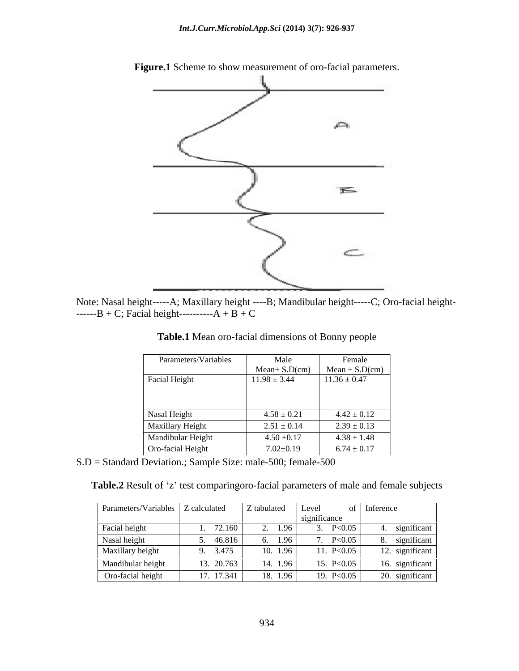

**Figure.1** Scheme to show measurement of oro-facial parameters.

Note: Nasal height-----A; Maxillary height ----B; Mandibular height-----C; Oro-facial height- ------B + C; Facial height----------- $A + B + C$ 

| Parameters/Variables | Male                | Female             |
|----------------------|---------------------|--------------------|
|                      | $Mean \pm S.D$ (cm) | Mean $\pm$ S.D(cm) |
| Facial Height        | $11.98 \pm 3.44$    | $11.36 \pm 0.47$   |
|                      |                     |                    |
|                      |                     |                    |
| Nasal Height         | $4.58 \pm 0.21$     | $4.42 \pm 0.12$    |
| Maxillary Height     | $2.51 \pm 0.14$     | $2.39 \pm 0.13$    |
| Mandibular Height    | $4.50 \pm 0.17$     | $4.38 \pm 1.48$    |
| Oro-facial Height    | $7.02 \pm 0.19$     | $6.74 \pm 0.17$    |

**Table.1** Mean oro-facial dimensions of Bonny people

S.D = Standard Deviation.; Sample Size: male-500; female-500

Table.2 Result of 'z' test comparingoro-facial parameters of male and female subjects

| Parameters/Variables   Z calculated |            | Z tabulated | Level        | of Inference    |
|-------------------------------------|------------|-------------|--------------|-----------------|
|                                     |            |             | significance |                 |
| Facial height                       | 72.160     | 1.96        | P<0.05       | significant     |
| Nasal height                        | 46.816     | 1.96        | P<0.05       | 8. significant  |
| Maxillary height                    | 9. 3.475   | 1.96        | 11. P<0.05   | 12. significant |
| Mandibular height                   | 13. 20.763 | 1.96        | 15. $P<0.05$ | 16. significant |
| Oro-facial height                   | 17. 17.341 | 18.196      | 19. P<0.05   | 20. significant |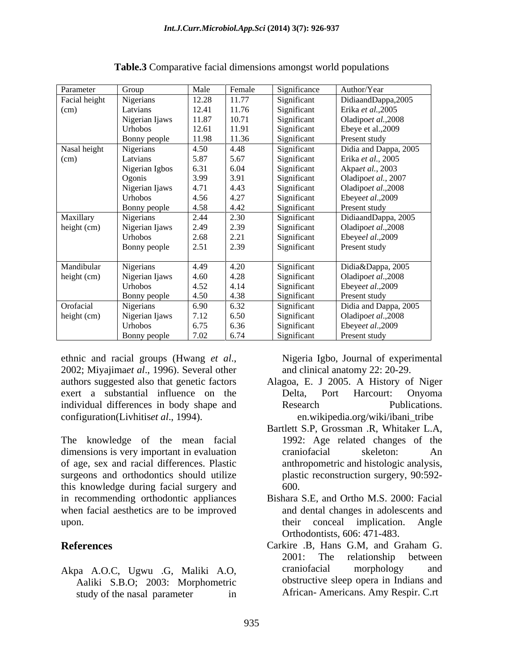| Parameter     | Group          | Male  | Female | Significance | Author/Year           |
|---------------|----------------|-------|--------|--------------|-----------------------|
| Facial height | Nigerians      | 12.28 | 11.77  | Significant  | DidiaandDappa,2005    |
| (cm)          | Latvians       | 12.41 | 11.76  | Significant  | Erika et al., 2005    |
|               | Nigerian Ijaws | 11.87 | 10.71  | Significant  | Oladipoet al., 2008   |
|               | Urhobos        | 12.61 | 11.91  | Significant  | Ebeye et al., 2009    |
|               | Bonny people   | 11.98 | 11.36  | Significant  | Present study         |
| Nasal height  | Nigerians      | 4.50  | 4.48   | Significant  | Didia and Dappa, 2005 |
| (cm)          | Latvians       | 5.87  | 5.67   | Significant  | Erika et al., 2005    |
|               | Nigerian Igbos | 6.31  | 6.04   | Significant  | Akpaet al., 2003      |
|               | Ogonis         | 3.99  | 3.91   | Significant  | Oladipoet al., 2007   |
|               | Nigerian Ijaws | 4.71  | 4.43   | Significant  | Oladipoet al., 2008   |
|               | Urhobos        | 4.56  | 4.27   | Significant  | Ebeyeet al., 2009     |
|               | Bonny people   | 4.58  | 4.42   | Significant  | Present study         |
| Maxillary     | Nigerians      | 2.44  | 2.30   | Significant  | DidiaandDappa, 2005   |
| height (cm)   | Nigerian Ijaws | 2.49  | 2.39   | Significant  | Oladipoet al., 2008   |
|               | Urhobos        | 2.68  | 2.21   | Significant  | Ebeyeel al.,2009      |
|               | Bonny people   | 2.51  | 2.39   | Significant  | Present study         |
| Mandibular    | Nigerians      | 4.49  | 4.20   | Significant  | Didia&Dappa, 2005     |
| height (cm)   | Nigerian Ijaws | 4.60  | 4.28   | Significant  | Oladipoet al., 2008   |
|               | Urhobos        | 4.52  | 4.14   | Significant  | Ebeyeet al., 2009     |
|               | Bonny people   | 4.50  | 4.38   | Significant  | Present study         |
| Orofacial     | Nigerians      | 6.90  | 6.32   | Significant  | Didia and Dappa, 2005 |
| height (cm)   | Nigerian Ijaws | 7.12  | 6.50   | Significant  | Oladipoet al., 2008   |
|               | Urhobos        | 6.75  | 6.36   | Significant  | Ebeyeet al., 2009     |
|               | Bonny people   | 7.02  | 6.74   | Significant  | Present study         |

**Table.3** Comparative facial dimensions amongst world populations

ethnic and racial groups (Hwang *et al.*, 2002; Migeria Igbo, Journal of experimental 2002; Miyajima*et al.*, 1996). Several other and clinical anatomy 22: 20-29. authors suggested also that genetic factors Alagoa, E. J 2005. A History of Niger exert a substantial influence on the Delta. Port Harcourt: Onyoma individual differences in body shape and **Exercise Research** Publications. configuration(Livhitis*et al*., 1994).

The knowledge of the mean facial dimensions is very important in evaluation craniofacial skeleton: An of age, sex and racial differences. Plastic surgeons and orthodontics should utilize this knowledge during facial surgery and in recommending orthodontic appliances when facial aesthetics are to be improved upon. their conceal implication. Angle

Aaliki S.B.O; 2003: Morphometric study of the nasal parameter in African-Americans. Amy Respir. C.rt

Nigeria Igbo, Journal of experimental and clinical anatomy 22: 20-29.

- Delta, Port Harcourt: Onyoma Research Publications. en.wikipedia.org/wiki/ibani\_tribe
- Bartlett S.P, Grossman .R, Whitaker L.A, 1992: Age related changes of the craniofacial skeleton: An anthropometric and histologic analysis, plastic reconstruction surgery, 90:592- 600.
- Bishara S.E, and Ortho M.S. 2000: Facial and dental changes in adolescents and Orthodontists, 606: 471-483.
- **References** Carkire .B, Hans G.M, and Graham G. Akpa A.O.C, Ugwu .G, Maliki A.O, Carkire .B, Hans G.M, and Graham G. 2001: The relationship between craniofacial morphology and obstructive sleep opera in Indians and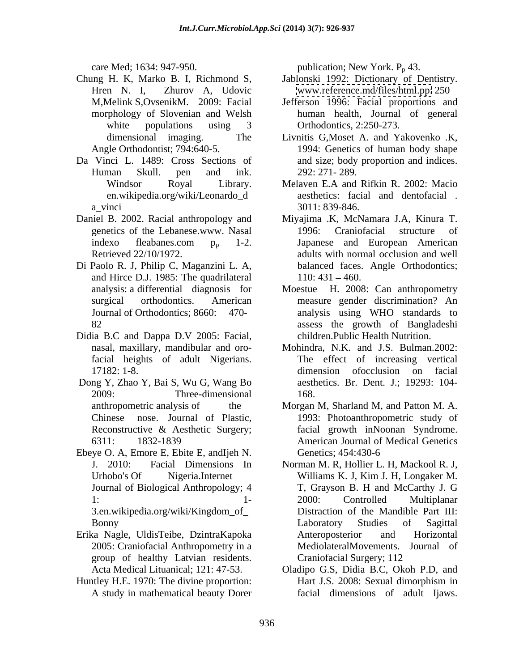- Chung H. K, Marko B. I, Richmond S, Jablonski 1992: Dictionary of Dentistry.
- Da Vinci L. 1489: Cross Sections of
- 
- Di Paolo R. J, Philip C, Maganzini L. A, and Hirce D.J. 1985: The quadrilateral
- Didia B.C and Dappa D.V 2005: Facial,
- Dong Y, Zhao Y, Bai S, Wu G, Wang Bo 2009: Three-dimensional Reconstructive & Aesthetic Surgery;
- Ebeye O. A, Emore E, Ebite E, andIjeh N. 3.en.wikipedia.org/wiki/Kingdom\_of\_
- Erika Nagle, UldisTeibe, DzintraKapoka group of healthy Latvian residents.
- Huntley H.E. 1970: The divine proportion: Hart J.S. 2008: Sexual dimorphism in

care Med; 1634: 947-950. publication; New York.  $P_p$  43.

- Hren N. I, Zhurov A, Udovic [www.reference.md/files/html.pp:](http://www.reference.md/files/html.pp:) 250
- M,Melink S,OvsenikM. 2009: Facial Jefferson 1996: Facial proportions and morphology of Slovenian and Welsh human health, Journal of general white populations using 3 Orthodontics, 2:250-273. Orthodontics, 2:250-273.
- dimensional imaging. The Livnitis G,Moset A. and Yakovenko .K, Angle Orthodontist; 794:640-5. 1994: Genetics of human body shape Human Skull. pen and ink. and size; body proportion and indices. 292: 271- 289.
- Windsor Royal Library. Melaven E.A and Rifkin R. 2002: Macio en.wikipedia.org/wiki/Leonardo\_d aesthetics: facial and dentofacial . a\_vinci 3011: 839-846. 3011: 839-846.
- Daniel B. 2002. Racial anthropology and Miyajima .K, McNamara J.A, Kinura T. genetics of the Lebanese.www. Nasal indexo fleabanes.com  $p_p$  1-2. Japanese and European American Retrieved 22/10/1972. adults with normal occlusion and well 1996: Craniofacial structure of Japanese and European American balanced faces. Angle Orthodontics;  $110: 431 - 460.$ 
	- analysis: a differential diagnosis for Moestue H. 2008: Can anthropometry surgical orthodontics. American measure gender discrimination? An Journal of Orthodontics; 8660: 470- analysis using WHO standards to 82 assess the growth of Bangladeshi children.Public Health Nutrition.
	- nasal, maxillary, mandibular and oro-Mohindra, N.K. and J.S. Bulman.2002: facial heights of adult Nigerians. The effect of increasing vertical 17182: 1-8. **dimension** of occlusion on facial dimension ofocclusion on facial aesthetics. Br. Dent. J.; 19293: 104- 168.
	- anthropometric analysis of the Morgan M, Sharland M, and Patton M. A. Chinese nose. Journal of Plastic, 1993: Photoanthropometric study of 6311: 1832-1839 American Journal of Medical Genetics facial growth inNoonan Syndrome. Genetics; 454:430-6
	- J. 2010: Facial Dimensions In Norman M. R, Hollier L. H, Mackool R. J, Urhobo's Of Nigeria.Internet Williams K. J, Kim J. H, Longaker M. Journal of Biological Anthropology; 4 T, Grayson B. H and McCarthy J. G 1: 1- 2000: Controlled Multiplanar Bonny Caboratory Studies of Sagittal 2005: Craniofacial Anthropometry in a MediolateralMovements. Journal of Williams K. J, Kim J. H, Longaker M. T, Grayson B. H and McCarthy J. G 2000: Controlled Multiplanar Distraction of the Mandible Part III: Laboratory Studies of Sagittal Anteroposterior and Horizontal Craniofacial Surgery; 112
	- Acta Medical Lituanical; 121: 47-53. Oladipo G.S, Didia B.C, Okoh P.D, and A study in mathematical beauty Dorer facial dimensions of adult Ijaws.Hart J.S. 2008: Sexual dimorphism in